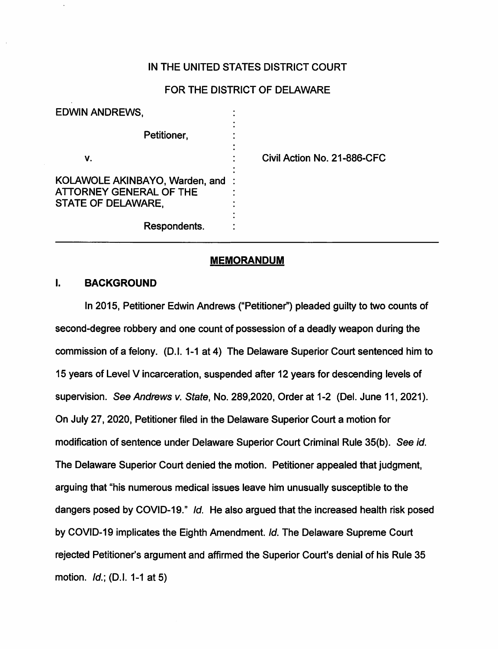## IN THE UNITED STATES DISTRICT COURT

## FOR THE DISTRICT OF DELAWARE

| <b>EDWIN ANDREWS,</b>                                                             |                             |
|-----------------------------------------------------------------------------------|-----------------------------|
| Petitioner,                                                                       |                             |
| v.                                                                                | Civil Action No. 21-886-CFC |
| KOLAWOLE AKINBAYO, Warden, and :<br>ATTORNEY GENERAL OF THE<br>STATE OF DELAWARE, |                             |
| Respondents.                                                                      |                             |

### **MEMORANDUM**

## I. **BACKGROUND**

In 2015, Petitioner Edwin Andrews ("Petitioner'') pleaded guilty to two counts of second-degree robbery and one count of possession of a deadly weapon during the commission of a felony. (D.1. 1-1 at 4) The Delaware Superior Court sentenced him to 15 years of Level V incarceration, suspended after 12 years for descending levels of supervision. See Andrews v. State, No. 289,2020, Order at 1-2 (Del. June 11, 2021). On July 27, 2020, Petitioner filed in the Delaware Superior Court a motion for modification of sentence under Delaware Superior Court Criminal Rule 35(b}. See id. The Delaware Superior Court denied the motion. Petitioner appealed that judgment, arguing that "his numerous medical issues leave him unusually susceptible to the dangers posed by COVID-19." Id. He also argued that the increased health risk posed by COVID-19 implicates the Eighth Amendment. Id. The Delaware Supreme Court rejected Petitioner's argument and affirmed the Superior Court's denial of his Rule 35 motion. Id.; (D.I. 1-1 at 5)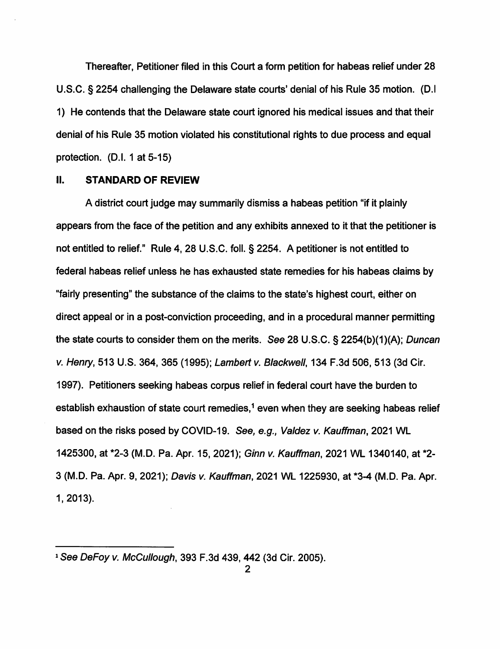Thereafter, Petitioner filed in this Court a form petition for habeas relief under 28 U.S.C. § 2254 challenging the Delaware state courts' denial of his Rule 35 motion. (D.I 1) He contends that the Delaware state court ignored his medical issues and that their denial of his Rule 35 motion violated his constitutional rights to due process and equal protection. (D.I. 1 at 5-15)

#### II. **STANDARD OF REVIEW**

A district court judge may summarily dismiss a habeas petition "if it plainly appears from the face of the petition and any exhibits annexed to it that the petitioner is not entitled to relief." Rule 4, 28 U.S.C. foll.§ 2254. A petitioner is not entitled to federal habeas relief unless he has exhausted state remedies for his habeas claims by "fairly presenting" the substance of the claims to the state's highest court, either on direct appeal or in a post-conviction proceeding, and in a procedural manner permitting the state courts to consider them on the merits. See 28 U.S.C. § 2254(b)(1)(A); Duncan v. Henry, 513 U.S. 364, 365 (1995); Lambert v. Blackwell, 134 F.3d 506, 513 (3d Cir. 1997). Petitioners seeking habeas corpus relief in federal court have the burden to establish exhaustion of state court remedies,<sup>1</sup> even when they are seeking habeas relief based on the risks posed by COVID-19. See, e.g., Valdez v. Kauffman, 2021 WL 1425300, at \*2-3 (M.D. Pa. Apr. 15, 2021); Ginn v. Kauffman, 2021 WL 1340140, at \*2- 3 (M.D. Pa. Apr. 9, 2021); Davis v. Kauffman, 2021 WL 1225930, at \*3-4 (M.D. Pa. Apr. 1, 2013).

<sup>1</sup> See DeFoy v. McCullough, 393 F.3d 439, 442 (3d Cir. 2005).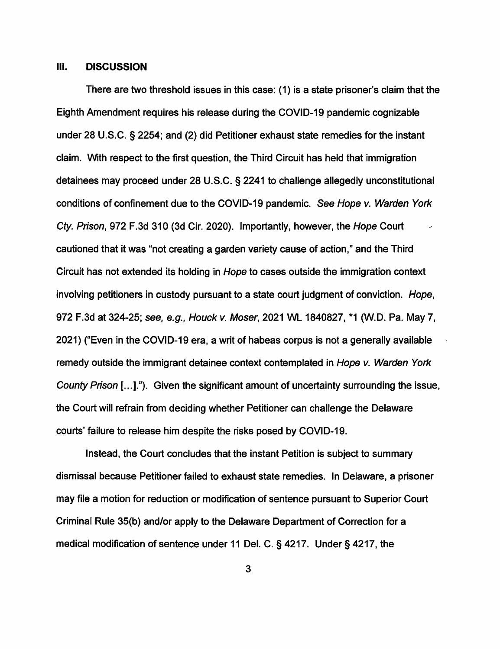#### Ill. **DISCUSSION**

There are two threshold issues in this case: (1) is a state prisoner's claim that the Eighth Amendment requires his release during the COVID-19 pandemic cognizable under 28 U.S.C. § 2254; and (2) did Petitioner exhaust state remedies for the instant claim. With respect to the first question, the Third Circuit has held that immigration detainees may proceed under 28 U.S.C. § 2241 to challenge allegedly unconstitutional conditions of confinement due to the COVID-19 pandemic. See Hope v. Warden York Cty. Prison, 972 F.3d 310 (3d Cir. 2020). Importantly, however, the Hope Court cautioned that it was "not creating a garden variety cause of action," and the Third Circuit has not extended its holding in Hope to cases outside the immigration context involving petitioners in custody pursuant to a state court judgment of conviction. Hope, 972 F.3d at 324-25; see, e.g., Houck v. Moser, 2021 WL 1840827, \*1 (W.D. Pa. May 7, 2021) ("Even in the COVID-19 era, a writ of habeas corpus is not a generally available remedy outside the immigrant detainee context contemplated in Hope v. Warden York County Prison [...]."). Given the significant amount of uncertainty surrounding the issue, the Court will refrain from deciding whether Petitioner can challenge the Delaware courts' failure to release him despite the risks posed by COVID-19.

Instead, the Court concludes that the instant Petition is subject to summary dismissal because Petitioner failed to exhaust state remedies. In Delaware, a prisoner may file a motion for reduction or modification of sentence pursuant to Superior Court Criminal Rule 35(b) and/or apply to the Delaware Department of Correction for a medical modification of sentence under 11 Del. C. § 4217. Under§ 4217, the

3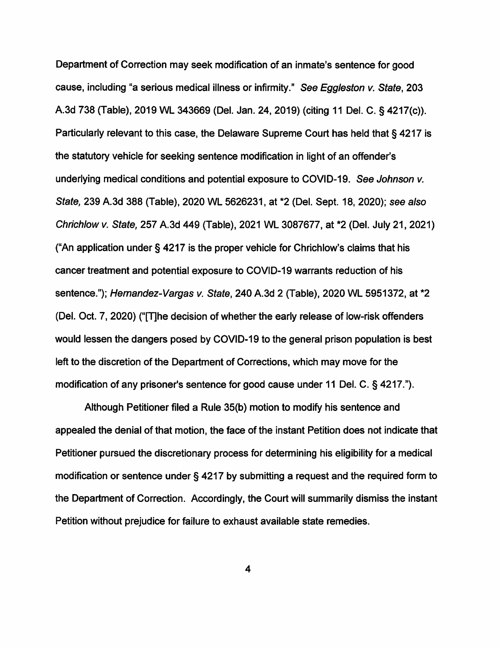Department of Correction may seek modification of an inmate's sentence for good cause, including "a serious medical illness or infirmity." See Eggleston v. State, 203 A.3d 738 {Table), 2019 WL 343669 {Del. Jan. 24, 2019) {citing 11 Del. C. § 4217{c)). Particularly relevant to this case, the Delaware Supreme Court has held that § 4217 is the statutory vehicle for seeking sentence modification in light of an offender's underlying medical conditions and potential exposure to COVID-19. See Johnson v. State, 239 A.3d 388 {Table), 2020 WL 5626231, at \*2 {Del. Sept. 18, 2020); see also Chrichlow v. State, 257 A.3d 449 {Table), 2021 WL 3087677, at \*2 {Del. July 21, 2021) {"An application under§ 4217 is the proper vehicle for Chrichlow's claims that his cancer treatment and potential exposure to COVID-19 warrants reduction of his sentence."); *Hernandez-Vargas v. State*, 240 A.3d 2 (Table), 2020 WL 5951372, at \*2 (Del. Oct. 7, 2020) ("[Tihe decision of whether the early release of low-risk offenders would lessen the dangers posed by COVID-19 to the general prison population is best left to the discretion of the Department of Corrections, which may move for the modification of any prisoner's sentence for good cause under 11 Del. C. § 4217.").

Although Petitioner filed a Rule 35{b) motion to modify his sentence and appealed the denial of that motion, the face of the instant Petition does not indicate that Petitioner pursued the discretionary process for determining his eligibility for a medical modification or sentence under§ 4217 by submitting a request and the required form to the Department of Correction. Accordingly, the Court will summarily dismiss the instant Petition without prejudice for failure to exhaust available state remedies.

4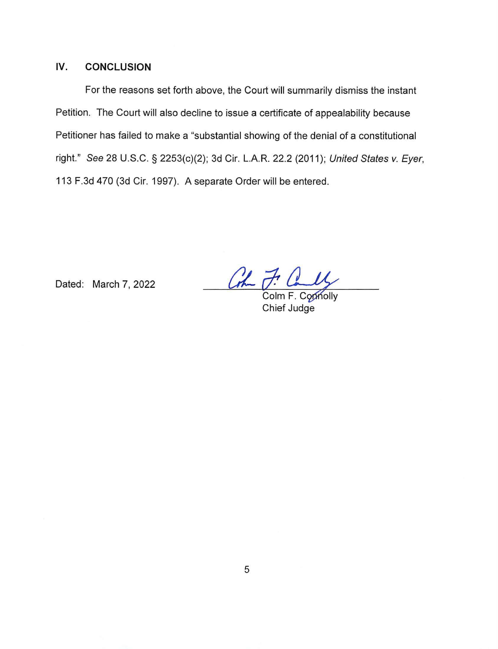## **IV. CONCLUSION**

For the reasons set forth above, the Court will summarily dismiss the instant Petition. The Court will also decline to issue a certificate of appealability because Petitioner has failed to make a "substantial showing of the denial of a constitutional right." See 28 U.S.C. § 2253(c)(2); 3d Cir. L.A.R. 22.2 (2011); United States v. Eyer, 113 F.3d 470 (3d Cir. 1997). A separate Order will be entered.

Dated: March 7, 2022

 $\frac{f}{c \text{dim } F}$ . Composity